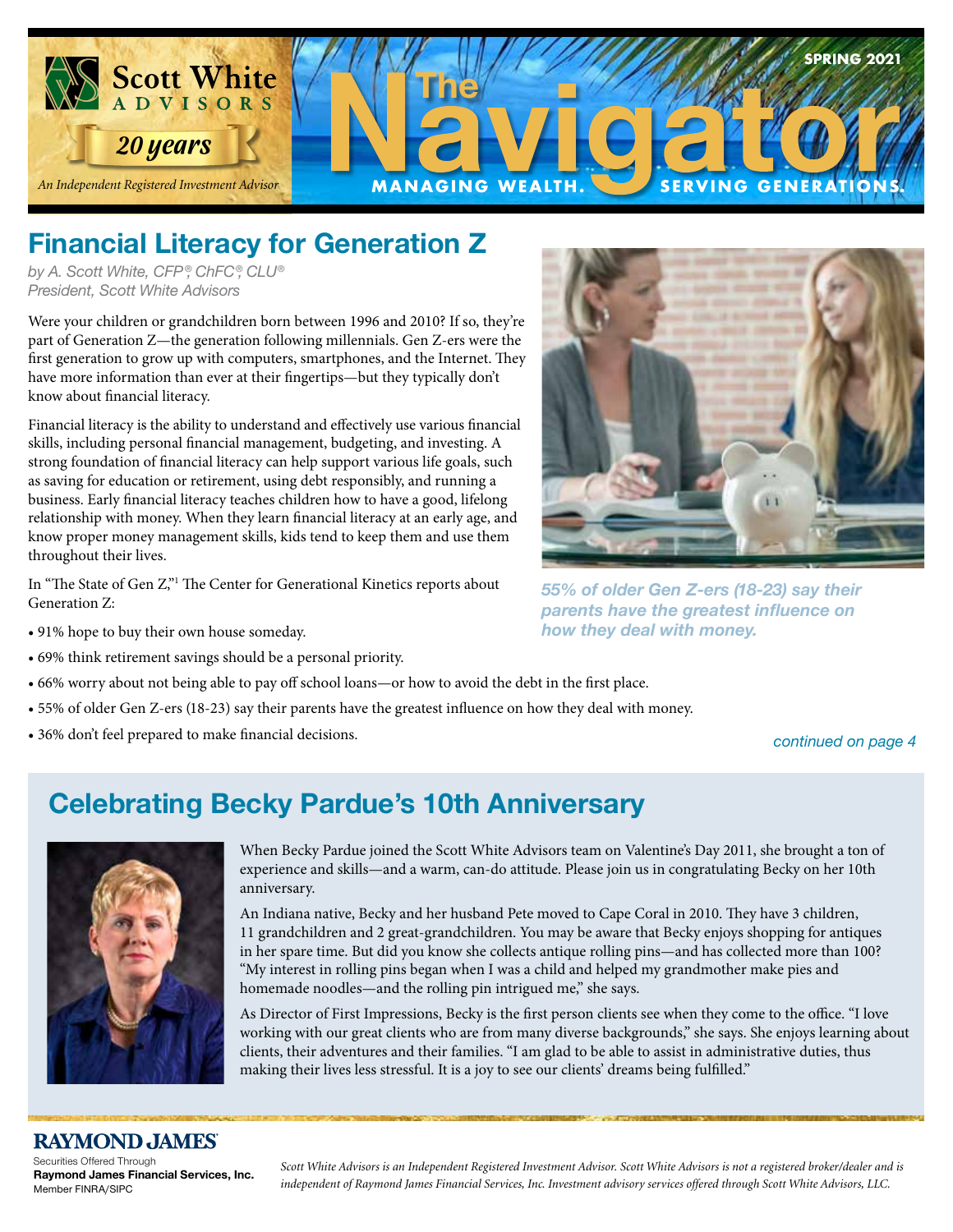

## **Financial Literacy for Generation Z**

*by A. Scott White, CFP ®, ChFC®, CLU® President, Scott White Advisors*

Were your children or grandchildren born between 1996 and 2010? If so, they're  $\frac{1}{2}$ part of Generation Z—the generation following millennials. Gen Z-ers were the first generation to grow up with computers, smartphones, and the Internet. They have more information than ever at their fingertips—but they typically don't know about financial literacy.

Financial literacy is the ability to understand and effectively use various financial skills, including personal financial management, budgeting, and investing. A strong foundation of financial literacy can help support various life goals, such as saving for education or retirement, using debt responsibly, and running a business. Early financial literacy teaches children how to have a good, lifelong relationship with money. When they learn financial literacy at an early age, and know proper money management skills, kids tend to keep them and use them throughout their lives.

In "The State of Gen Z,"1 The Center for Generational Kinetics reports about Generation Z:

- 91% hope to buy their own house someday.
- 69% think retirement savings should be a personal priority.
- 66% worry about not being able to pay off school loans—or how to avoid the debt in the first place.
- 55% of older Gen Z-ers (18-23) say their parents have the greatest influence on how they deal with money.
- 36% don't feel prepared to make financial decisions.



*55% of older Gen Z-ers (18-23) say their parents have the greatest influence on how they deal with money.*

#### *continued on page 4*

## **Celebrating Becky Pardue's 10th Anniversary**



When Becky Pardue joined the Scott White Advisors team on Valentine's Day 2011, she brought a ton of experience and skills—and a warm, can-do attitude. Please join us in congratulating Becky on her 10th anniversary.

An Indiana native, Becky and her husband Pete moved to Cape Coral in 2010. They have 3 children, 11 grandchildren and 2 great-grandchildren. You may be aware that Becky enjoys shopping for antiques in her spare time. But did you know she collects antique rolling pins—and has collected more than 100? "My interest in rolling pins began when I was a child and helped my grandmother make pies and homemade noodles—and the rolling pin intrigued me," she says.

As Director of First Impressions, Becky is the first person clients see when they come to the office. "I love working with our great clients who are from many diverse backgrounds," she says. She enjoys learning about clients, their adventures and their families. "I am glad to be able to assist in administrative duties, thus making their lives less stressful. It is a joy to see our clients' dreams being fulfilled."

#### **RAYMOND JAMES**

Securities Offered Through **Raymond James Financial Services, Inc.**  Member FINRA/SIPC

*Scott White Advisors is an Independent Registered Investment Advisor. Scott White Advisors is not a registered broker/dealer and is independent of Raymond James Financial Services, Inc. Investment advisory services offered through Scott White Advisors, LLC.*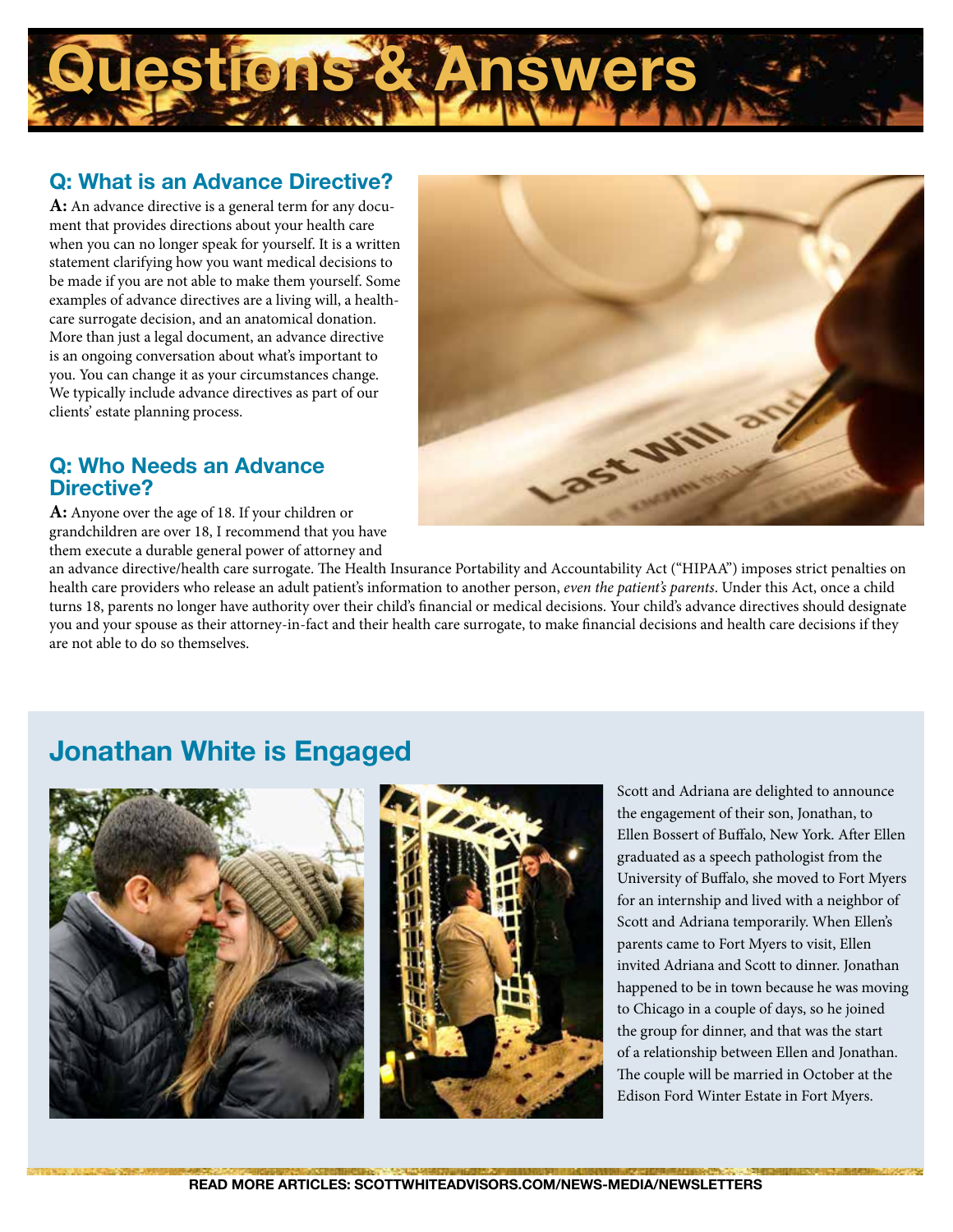

#### **Q: What is an Advance Directive?**

**A:** An advance directive is a general term for any document that provides directions about your health care when you can no longer speak for yourself. It is a written statement clarifying how you want medical decisions to be made if you are not able to make them yourself. Some examples of advance directives are a living will, a healthcare surrogate decision, and an anatomical donation. More than just a legal document, an advance directive is an ongoing conversation about what's important to you. You can change it as your circumstances change. We typically include advance directives as part of our clients' estate planning process.

**Q: Who Needs an Advance Directive?**

**A:** Anyone over the age of 18. If your children or grandchildren are over 18, I recommend that you have them execute a durable general power of attorney and

an advance directive/health care surrogate. The Health Insurance Portability and Accountability Act ("HIPAA") imposes strict penalties on health care providers who release an adult patient's information to another person, *even the patient's parents*. Under this Act, once a child turns 18, parents no longer have authority over their child's financial or medical decisions. Your child's advance directives should designate you and your spouse as their attorney-in-fact and their health care surrogate, to make financial decisions and health care decisions if they are not able to do so themselves.

ast Will

### **Jonathan White is Engaged**



Scott and Adriana are delighted to announce the engagement of their son, Jonathan, to Ellen Bossert of Buffalo, New York. After Ellen graduated as a speech pathologist from the University of Buffalo, she moved to Fort Myers for an internship and lived with a neighbor of Scott and Adriana temporarily. When Ellen's parents came to Fort Myers to visit, Ellen invited Adriana and Scott to dinner. Jonathan happened to be in town because he was moving to Chicago in a couple of days, so he joined the group for dinner, and that was the start of a relationship between Ellen and Jonathan. The couple will be married in October at the Edison Ford Winter Estate in Fort Myers.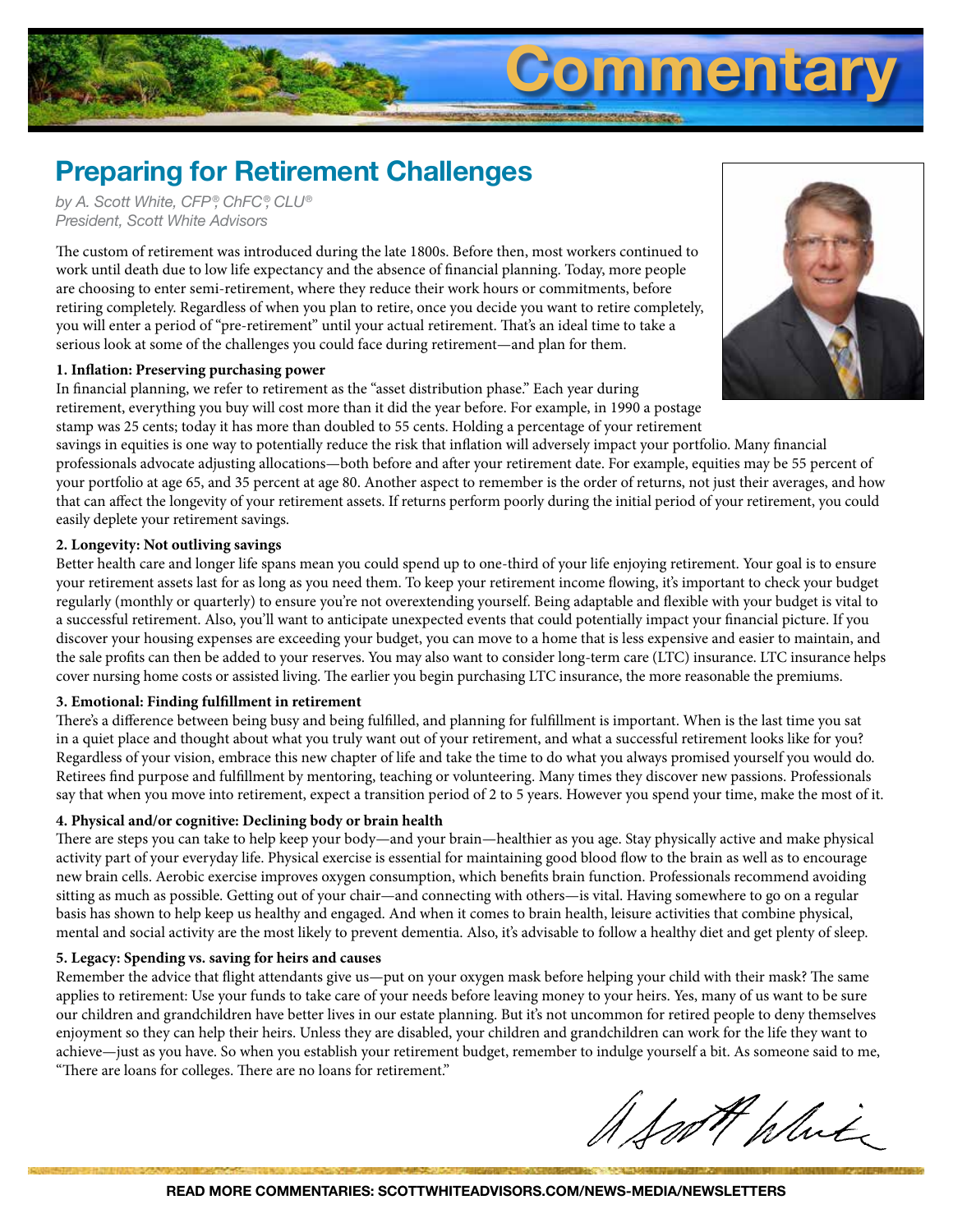# **Commentary**

## **Preparing for Retirement Challenges**

*by A. Scott White, CFP ®, ChFC®, CLU® President, Scott White Advisors*

The custom of retirement was introduced during the late 1800s. Before then, most workers continued to work until death due to low life expectancy and the absence of financial planning. Today, more people are choosing to enter semi-retirement, where they reduce their work hours or commitments, before retiring completely. Regardless of when you plan to retire, once you decide you want to retire completely, you will enter a period of "pre-retirement" until your actual retirement. That's an ideal time to take a serious look at some of the challenges you could face during retirement—and plan for them.

#### **1. Inflation: Preserving purchasing power**

In financial planning, we refer to retirement as the "asset distribution phase." Each year during retirement, everything you buy will cost more than it did the year before. For example, in 1990 a postage stamp was 25 cents; today it has more than doubled to 55 cents. Holding a percentage of your retirement

savings in equities is one way to potentially reduce the risk that inflation will adversely impact your portfolio. Many financial professionals advocate adjusting allocations—both before and after your retirement date. For example, equities may be 55 percent of your portfolio at age 65, and 35 percent at age 80. Another aspect to remember is the order of returns, not just their averages, and how that can affect the longevity of your retirement assets. If returns perform poorly during the initial period of your retirement, you could easily deplete your retirement savings.

#### **2. Longevity: Not outliving savings**

Better health care and longer life spans mean you could spend up to one-third of your life enjoying retirement. Your goal is to ensure your retirement assets last for as long as you need them. To keep your retirement income flowing, it's important to check your budget regularly (monthly or quarterly) to ensure you're not overextending yourself. Being adaptable and flexible with your budget is vital to a successful retirement. Also, you'll want to anticipate unexpected events that could potentially impact your financial picture. If you discover your housing expenses are exceeding your budget, you can move to a home that is less expensive and easier to maintain, and the sale profits can then be added to your reserves. You may also want to consider long-term care (LTC) insurance. LTC insurance helps cover nursing home costs or assisted living. The earlier you begin purchasing LTC insurance, the more reasonable the premiums.

#### **3. Emotional: Finding fulfillment in retirement**

There's a difference between being busy and being fulfilled, and planning for fulfillment is important. When is the last time you sat in a quiet place and thought about what you truly want out of your retirement, and what a successful retirement looks like for you? Regardless of your vision, embrace this new chapter of life and take the time to do what you always promised yourself you would do. Retirees find purpose and fulfillment by mentoring, teaching or volunteering. Many times they discover new passions. Professionals say that when you move into retirement, expect a transition period of 2 to 5 years. However you spend your time, make the most of it.

#### **4. Physical and/or cognitive: Declining body or brain health**

There are steps you can take to help keep your body—and your brain—healthier as you age. Stay physically active and make physical activity part of your everyday life. Physical exercise is essential for maintaining good blood flow to the brain as well as to encourage new brain cells. Aerobic exercise improves oxygen consumption, which benefits brain function. Professionals recommend avoiding sitting as much as possible. Getting out of your chair—and connecting with others—is vital. Having somewhere to go on a regular basis has shown to help keep us healthy and engaged. And when it comes to brain health, leisure activities that combine physical, mental and social activity are the most likely to prevent dementia. Also, it's advisable to follow a healthy diet and get plenty of sleep.

#### **5. Legacy: Spending vs. saving for heirs and causes**

Remember the advice that flight attendants give us—put on your oxygen mask before helping your child with their mask? The same applies to retirement: Use your funds to take care of your needs before leaving money to your heirs. Yes, many of us want to be sure our children and grandchildren have better lives in our estate planning. But it's not uncommon for retired people to deny themselves enjoyment so they can help their heirs. Unless they are disabled, your children and grandchildren can work for the life they want to achieve—just as you have. So when you establish your retirement budget, remember to indulge yourself a bit. As someone said to me, "There are loans for colleges. There are no loans for retirement."

foot plute